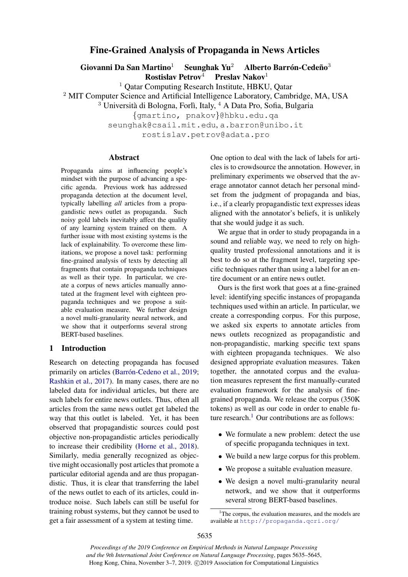# Fine-Grained Analysis of Propaganda in News Articles

Giovanni Da San Martino<sup>1</sup> Seunghak Yu<sup>2</sup> Alberto Barrón-Cedeño<sup>3</sup>

 $\textbf{Rostislav Petrov}^4$  Preslav Nakov<sup>1</sup>

<sup>1</sup> Qatar Computing Research Institute, HBKU, Qatar

<sup>2</sup> MIT Computer Science and Artificial Intelligence Laboratory, Cambridge, MA, USA

 $3$  Università di Bologna, Forlì, Italy,  $4$  A Data Pro, Sofia, Bulgaria

{gmartino, pnakov}@hbku.edu.qa

seunghak@csail.mit.edu, a.barron@unibo.it

rostislav.petrov@adata.pro

# Abstract

Propaganda aims at influencing people's mindset with the purpose of advancing a specific agenda. Previous work has addressed propaganda detection at the document level, typically labelling *all* articles from a propagandistic news outlet as propaganda. Such noisy gold labels inevitably affect the quality of any learning system trained on them. A further issue with most existing systems is the lack of explainability. To overcome these limitations, we propose a novel task: performing fine-grained analysis of texts by detecting all fragments that contain propaganda techniques as well as their type. In particular, we create a corpus of news articles manually annotated at the fragment level with eighteen propaganda techniques and we propose a suitable evaluation measure. We further design a novel multi-granularity neural network, and we show that it outperforms several strong BERT-based baselines.

# 1 Introduction

Research on detecting propaganda has focused primarily on articles (Barrón-Cedeno et al., [2019;](#page-9-0) [Rashkin et al.,](#page-9-1) [2017\)](#page-9-1). In many cases, there are no labeled data for individual articles, but there are such labels for entire news outlets. Thus, often all articles from the same news outlet get labeled the way that this outlet is labeled. Yet, it has been observed that propagandistic sources could post objective non-propagandistic articles periodically to increase their credibility [\(Horne et al.,](#page-9-2) [2018\)](#page-9-2). Similarly, media generally recognized as objective might occasionally post articles that promote a particular editorial agenda and are thus propagandistic. Thus, it is clear that transferring the label of the news outlet to each of its articles, could introduce noise. Such labels can still be useful for training robust systems, but they cannot be used to get a fair assessment of a system at testing time.

One option to deal with the lack of labels for articles is to crowdsource the annotation. However, in preliminary experiments we observed that the average annotator cannot detach her personal mindset from the judgment of propaganda and bias, i.e., if a clearly propagandistic text expresses ideas aligned with the annotator's beliefs, it is unlikely that she would judge it as such.

We argue that in order to study propaganda in a sound and reliable way, we need to rely on highquality trusted professional annotations and it is best to do so at the fragment level, targeting specific techniques rather than using a label for an entire document or an entire news outlet.

Ours is the first work that goes at a fine-grained level: identifying specific instances of propaganda techniques used within an article. In particular, we create a corresponding corpus. For this purpose, we asked six experts to annotate articles from news outlets recognized as propagandistic and non-propagandistic, marking specific text spans with eighteen propaganda techniques. We also designed appropriate evaluation measures. Taken together, the annotated corpus and the evaluation measures represent the first manually-curated evaluation framework for the analysis of finegrained propaganda. We release the corpus (350K tokens) as well as our code in order to enable future research. $1$  Our contributions are as follows:

- We formulate a new problem: detect the use of specific propaganda techniques in text.
- We build a new large corpus for this problem.
- We propose a suitable evaluation measure.
- We design a novel multi-granularity neural network, and we show that it outperforms several strong BERT-based baselines.

<span id="page-0-0"></span> $1$ <sup>1</sup>The corpus, the evaluation measures, and the models are available at <http://propaganda.qcri.org/>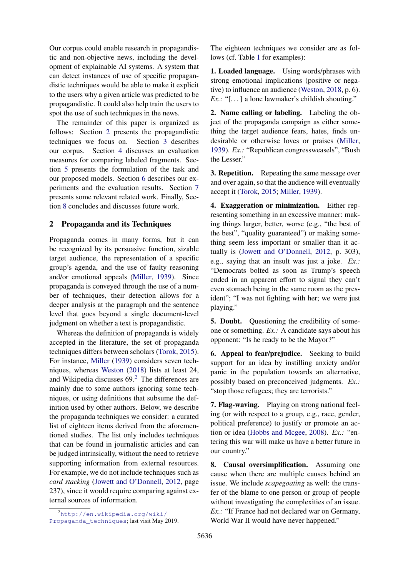Our corpus could enable research in propagandistic and non-objective news, including the development of explainable AI systems. A system that can detect instances of use of specific propagandistic techniques would be able to make it explicit to the users why a given article was predicted to be propagandistic. It could also help train the users to spot the use of such techniques in the news.

The remainder of this paper is organized as follows: Section [2](#page-1-0) presents the propagandistic techniques we focus on. Section [3](#page-3-0) describes our corpus. Section [4](#page-5-0) discusses an evaluation measures for comparing labeled fragments. Section [5](#page-6-0) presents the formulation of the task and our proposed models. Section [6](#page-7-0) describes our experiments and the evaluation results. Section [7](#page-8-0) presents some relevant related work. Finally, Section [8](#page-8-1) concludes and discusses future work.

# <span id="page-1-0"></span>2 Propaganda and its Techniques

Propaganda comes in many forms, but it can be recognized by its persuasive function, sizable target audience, the representation of a specific group's agenda, and the use of faulty reasoning and/or emotional appeals [\(Miller,](#page-9-3) [1939\)](#page-9-3). Since propaganda is conveyed through the use of a number of techniques, their detection allows for a deeper analysis at the paragraph and the sentence level that goes beyond a single document-level judgment on whether a text is propagandistic.

Whereas the definition of propaganda is widely accepted in the literature, the set of propaganda techniques differs between scholars [\(Torok,](#page-10-0) [2015\)](#page-10-0). For instance, [Miller](#page-9-3) [\(1939\)](#page-9-3) considers seven techniques, whereas [Weston](#page-10-1) [\(2018\)](#page-10-1) lists at least 24, and Wikipedia discusses  $69<sup>2</sup>$  $69<sup>2</sup>$  $69<sup>2</sup>$ . The differences are mainly due to some authors ignoring some techniques, or using definitions that subsume the definition used by other authors. Below, we describe the propaganda techniques we consider: a curated list of eighteen items derived from the aforementioned studies. The list only includes techniques that can be found in journalistic articles and can be judged intrinsically, without the need to retrieve supporting information from external resources. For example, we do not include techniques such as *card stacking* [\(Jowett and O'Donnell,](#page-9-4) [2012,](#page-9-4) page 237), since it would require comparing against external sources of information.

<span id="page-1-1"></span><sup>2</sup>[http://en.wikipedia.org/wiki/](http://en.wikipedia.org/wiki/Propaganda_techniques) [Propaganda\\_techniques](http://en.wikipedia.org/wiki/Propaganda_techniques); last visit May 2019.

The eighteen techniques we consider are as follows (cf. Table [1](#page-2-0) for examples):

1. Loaded language. Using words/phrases with strong emotional implications (positive or negative) to influence an audience [\(Weston,](#page-10-1) [2018,](#page-10-1) p. 6). *Ex.:* "[...] a lone lawmaker's childish shouting."

2. Name calling or labeling. Labeling the object of the propaganda campaign as either something the target audience fears, hates, finds undesirable or otherwise loves or praises [\(Miller,](#page-9-3) [1939\)](#page-9-3). *Ex.:* "Republican congressweasels", "Bush the Lesser."

3. Repetition. Repeating the same message over and over again, so that the audience will eventually accept it [\(Torok,](#page-10-0) [2015;](#page-10-0) [Miller,](#page-9-3) [1939\)](#page-9-3).

4. Exaggeration or minimization. Either representing something in an excessive manner: making things larger, better, worse (e.g., "the best of the best", "quality guaranteed") or making something seem less important or smaller than it actually is [\(Jowett and O'Donnell,](#page-9-4) [2012,](#page-9-4) p. 303), e.g., saying that an insult was just a joke. *Ex.:* "Democrats bolted as soon as Trump's speech ended in an apparent effort to signal they can't even stomach being in the same room as the president"; "I was not fighting with her; we were just playing."

5. Doubt. Questioning the credibility of someone or something. *Ex.:* A candidate says about his opponent: "Is he ready to be the Mayor?"

6. Appeal to fear/prejudice. Seeking to build support for an idea by instilling anxiety and/or panic in the population towards an alternative, possibly based on preconceived judgments. *Ex.:* "stop those refugees; they are terrorists."

7. Flag-waving. Playing on strong national feeling (or with respect to a group, e.g., race, gender, political preference) to justify or promote an action or idea [\(Hobbs and Mcgee,](#page-9-5) [2008\)](#page-9-5). *Ex.:* "entering this war will make us have a better future in our country."

8. Causal oversimplification. Assuming one cause when there are multiple causes behind an issue. We include *scapegoating* as well: the transfer of the blame to one person or group of people without investigating the complexities of an issue. *Ex.*: "If France had not declared war on Germany, World War II would have never happened."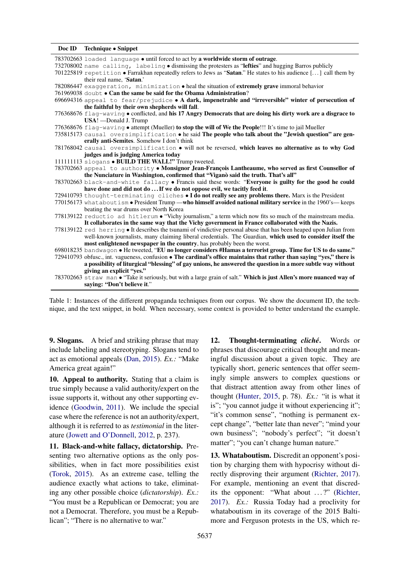<span id="page-2-0"></span>

| Doc ID Technique • Snippet                                                                                             |  |
|------------------------------------------------------------------------------------------------------------------------|--|
| 783702663 loaded language • until forced to act by a worldwide storm of outrage.                                       |  |
| 732708002 name calling, labeling • dismissing the protesters as "lefties" and hugging Barros publicly                  |  |
| 701225819 repetition • Farrakhan repeatedly refers to Jews as "Satan." He states to his audience [] call them by       |  |
| their real name. 'Satan.'                                                                                              |  |
| 782086447 exaggeration, minimization • heal the situation of extremely grave immoral behavior                          |  |
| 761969038 doubt . Can the same be said for the Obama Administration?                                                   |  |
| 696694316 appeal to fear/prejudice • A dark, impenetrable and "irreversible" winter of persecution of                  |  |
| the faithful by their own shepherds will fall.                                                                         |  |
| 776368676 flag-waving • conflicted, and his 17 Angry Democrats that are doing his dirty work are a disgrace to         |  |
| USA! - Donald J. Trump                                                                                                 |  |
| 776368676 flag-waving • attempt (Mueller) to stop the will of We the People!!! It's time to jail Mueller               |  |
| 735815173 causal oversimplification . he said The people who talk about the "Jewish question" are gen-                 |  |
| erally anti-Semites. Somehow I don't think                                                                             |  |
| 781768042 causal oversimplification • will not be reversed, which leaves no alternative as to why God                  |  |
| judges and is judging America today                                                                                    |  |
| 111111113 slogans • BUILD THE WALL!" Trump tweeted.                                                                    |  |
| 783702663 appeal to authority . Monsignor Jean-François Lantheaume, who served as first Counsellor of                  |  |
| the Nunciature in Washington, confirmed that "Viganò said the truth. That's all"                                       |  |
| 783702663 black-and-white fallacy . Francis said these words: "Everyone is guilty for the good he could                |  |
| have done and did not do  If we do not oppose evil, we tacitly feed it.                                                |  |
| 729410793 thought-terminating cliches • I do not really see any problems there. Marx is the President                  |  |
| 770156173 what about ism . President Trump - who himself avoided national military service in the 1960's-keeps         |  |
| beating the war drums over North Korea                                                                                 |  |
| 778139122 reductio ad hitlerum . "Vichy journalism," a term which now fits so much of the mainstream media.            |  |
| It collaborates in the same way that the Vichy government in France collaborated with the Nazis.                       |  |
| 778139122 red herring • It describes the tsunami of vindictive personal abuse that has been heaped upon Julian from    |  |
| well-known journalists, many claiming liberal credentials. The Guardian, which used to consider itself the             |  |
| most enlightened newspaper in the country, has probably been the worst.                                                |  |
| 698018235 bandwagon . He tweeted, "EU no longer considers #Hamas a terrorist group. Time for US to do same."           |  |
| 729410793 obfusc., int. vagueness, confusion . The cardinal's office maintains that rather than saying "yes," there is |  |
| a possibility of liturgical "blessing" of gay unions, he answered the question in a more subtle way without            |  |
| giving an explicit "yes."                                                                                              |  |
| 783702663 straw man • "Take it seriously, but with a large grain of salt." Which is just Allen's more nuanced way of   |  |
| saving: "Don't believe it."                                                                                            |  |

Table 1: Instances of the different propaganda techniques from our corpus. We show the document ID, the technique, and the text snippet, in bold. When necessary, some context is provided to better understand the example.

9. Slogans. A brief and striking phrase that may include labeling and stereotyping. Slogans tend to act as emotional appeals [\(Dan,](#page-9-6) [2015\)](#page-9-6). *Ex.:* "Make America great again!"

10. Appeal to authority. Stating that a claim is true simply because a valid authority/expert on the issue supports it, without any other supporting evidence [\(Goodwin,](#page-9-7) [2011\)](#page-9-7). We include the special case where the reference is not an authority/expert, although it is referred to as *testimonial* in the literature [\(Jowett and O'Donnell,](#page-9-4) [2012,](#page-9-4) p. 237).

11. Black-and-white fallacy, dictatorship. Presenting two alternative options as the only possibilities, when in fact more possibilities exist [\(Torok,](#page-10-0) [2015\)](#page-10-0). As an extreme case, telling the audience exactly what actions to take, eliminating any other possible choice (*dictatorship*). *Ex.:* "You must be a Republican or Democrat; you are not a Democrat. Therefore, you must be a Republican"; "There is no alternative to war."

12. Thought-terminating *cliché*. Words or phrases that discourage critical thought and meaningful discussion about a given topic. They are typically short, generic sentences that offer seemingly simple answers to complex questions or that distract attention away from other lines of thought [\(Hunter,](#page-9-8) [2015,](#page-9-8) p. 78). *Ex.:* "it is what it is"; "you cannot judge it without experiencing it"; "it's common sense", "nothing is permanent except change", "better late than never"; "mind your own business"; "nobody's perfect"; "it doesn't matter"; "you can't change human nature."

13. Whataboutism. Discredit an opponent's position by charging them with hypocrisy without directly disproving their argument [\(Richter,](#page-9-9) [2017\)](#page-9-9). For example, mentioning an event that discred-its the opponent: "What about ...?" [\(Richter,](#page-9-9) [2017\)](#page-9-9). *Ex.:* Russia Today had a proclivity for whataboutism in its coverage of the 2015 Baltimore and Ferguson protests in the US, which re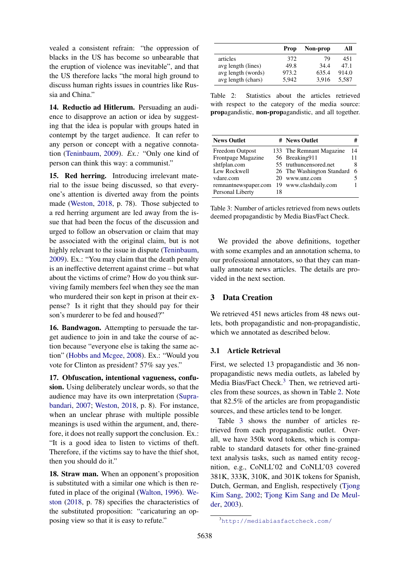vealed a consistent refrain: "the oppression of blacks in the US has become so unbearable that the eruption of violence was inevitable", and that the US therefore lacks "the moral high ground to discuss human rights issues in countries like Russia and China."

14. Reductio ad Hitlerum. Persuading an audience to disapprove an action or idea by suggesting that the idea is popular with groups hated in contempt by the target audience. It can refer to any person or concept with a negative connotation [\(Teninbaum,](#page-9-10) [2009\)](#page-9-10). *Ex.:* "Only one kind of person can think this way: a communist."

15. Red herring. Introducing irrelevant material to the issue being discussed, so that everyone's attention is diverted away from the points made [\(Weston,](#page-10-1) [2018,](#page-10-1) p. 78). Those subjected to a red herring argument are led away from the issue that had been the focus of the discussion and urged to follow an observation or claim that may be associated with the original claim, but is not highly relevant to the issue in dispute [\(Teninbaum,](#page-9-10) [2009\)](#page-9-10). Ex.: "You may claim that the death penalty is an ineffective deterrent against crime – but what about the victims of crime? How do you think surviving family members feel when they see the man who murdered their son kept in prison at their expense? Is it right that they should pay for their son's murderer to be fed and housed?"

16. Bandwagon. Attempting to persuade the target audience to join in and take the course of action because "everyone else is taking the same action" [\(Hobbs and Mcgee,](#page-9-5) [2008\)](#page-9-5). Ex.: "Would you vote for Clinton as president? 57% say yes."

17. Obfuscation, intentional vagueness, confusion. Using deliberately unclear words, so that the audience may have its own interpretation [\(Supra](#page-9-11)[bandari,](#page-9-11) [2007;](#page-9-11) [Weston,](#page-10-1) [2018,](#page-10-1) p. 8). For instance, when an unclear phrase with multiple possible meanings is used within the argument, and, therefore, it does not really support the conclusion. Ex.: "It is a good idea to listen to victims of theft. Therefore, if the victims say to have the thief shot, then you should do it."

18. Straw man. When an opponent's proposition is substituted with a similar one which is then refuted in place of the original [\(Walton,](#page-10-2) [1996\)](#page-10-2). [We](#page-10-1)[ston](#page-10-1) [\(2018,](#page-10-1) p. 78) specifies the characteristics of the substituted proposition: "caricaturing an opposing view so that it is easy to refute."

<span id="page-3-2"></span>

|                    | Prop  | Non-prop | All   |
|--------------------|-------|----------|-------|
| articles           | 372   | 79       | 451   |
| avg length (lines) | 49.8  | 34.4     | 47.1  |
| avg length (words) | 973.2 | 635.4    | 914.0 |
| avg length (chars) | 5.942 | 3.916    | 5.587 |

Table 2: Statistics about the articles retrieved with respect to the category of the media source: propagandistic, non-propagandistic, and all together.

<span id="page-3-3"></span>

| <b>News Outlet</b>   |    | # News Outlet              |    |
|----------------------|----|----------------------------|----|
| Freedom Outpost      |    | 133 The Remnant Magazine   | 14 |
| Frontpage Magazine   |    | 56 Breaking911             | 11 |
| shtfplan.com         |    | 55 truthuncensored.net     | 8  |
| Lew Rockwell         |    | 26 The Washington Standard | -6 |
| vdare.com            |    | www.unz.com                |    |
| remnantnewspaper.com |    | 19 www.clashdaily.com      |    |
| Personal Liberty     | 18 |                            |    |

Table 3: Number of articles retrieved from news outlets deemed propagandistic by Media Bias/Fact Check.

We provided the above definitions, together with some examples and an annotation schema, to our professional annotators, so that they can manually annotate news articles. The details are provided in the next section.

# <span id="page-3-0"></span>3 Data Creation

We retrieved 451 news articles from 48 news outlets, both propagandistic and non-propagandistic, which we annotated as described below.

### 3.1 Article Retrieval

First, we selected 13 propagandistic and 36 nonpropagandistic news media outlets, as labeled by Media Bias/Fact Check. $3$  Then, we retrieved articles from these sources, as shown in Table [2.](#page-3-2) Note that 82.5% of the articles are from propagandistic sources, and these articles tend to be longer.

Table [3](#page-3-3) shows the number of articles retrieved from each propagandistic outlet. Overall, we have 350k word tokens, which is comparable to standard datasets for other fine-grained text analysis tasks, such as named entity recognition, e.g., CoNLL'02 and CoNLL'03 covered 381K, 333K, 310K, and 301K tokens for Spanish, Dutch, German, and English, respectively [\(Tjong](#page-10-3) [Kim Sang,](#page-10-3) [2002;](#page-10-3) [Tjong Kim Sang and De Meul](#page-10-4)[der,](#page-10-4) [2003\)](#page-10-4).

<span id="page-3-1"></span><sup>3</sup><http://mediabiasfactcheck.com/>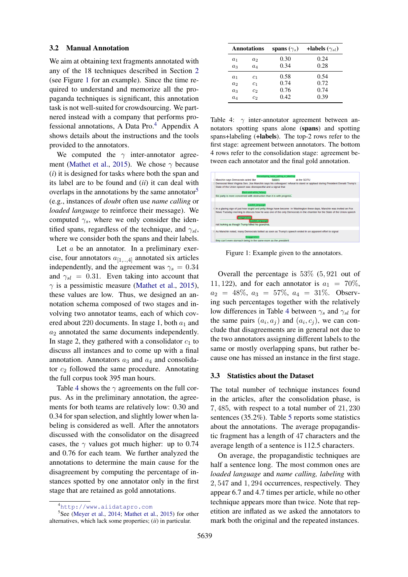### 3.2 Manual Annotation

We aim at obtaining text fragments annotated with any of the 18 techniques described in Section [2](#page-1-0) (see Figure [1](#page-4-0) for an example). Since the time required to understand and memorize all the propaganda techniques is significant, this annotation task is not well-suited for crowdsourcing. We partnered instead with a company that performs professional annotations, A Data Pro. $4$  Appendix A shows details about the instructions and the tools provided to the annotators.

We computed the  $\gamma$  inter-annotator agree-ment [\(Mathet et al.,](#page-9-12) [2015\)](#page-9-12). We chose  $\gamma$  because (*i*) it is designed for tasks where both the span and its label are to be found and (*ii*) it can deal with overlaps in the annotations by the same annotator<sup>[5](#page-4-2)</sup> (e.g., instances of *doubt* often use *name calling* or *loaded language* to reinforce their message). We computed  $\gamma_s$ , where we only consider the identified spans, regardless of the technique, and  $\gamma_{sl}$ , where we consider both the spans and their labels.

Let  $a$  be an annotator. In a preliminary exercise, four annotators  $a_{[1,..,4]}$  annotated six articles independently, and the agreement was  $\gamma_s = 0.34$ and  $\gamma_{sl} = 0.31$ . Even taking into account that  $\gamma$  is a pessimistic measure [\(Mathet et al.,](#page-9-12) [2015\)](#page-9-12), these values are low. Thus, we designed an annotation schema composed of two stages and involving two annotator teams, each of which covered about 220 documents. In stage 1, both  $a_1$  and  $a_2$  annotated the same documents independently. In stage 2, they gathered with a consolidator  $c_1$  to discuss all instances and to come up with a final annotation. Annotators  $a_3$  and  $a_4$  and consolidator  $c_2$  followed the same procedure. Annotating the full corpus took 395 man hours.

Table [4](#page-4-3) shows the  $\gamma$  agreements on the full corpus. As in the preliminary annotation, the agreements for both teams are relatively low: 0.30 and 0.34 for span selection, and slightly lower when labeling is considered as well. After the annotators discussed with the consolidator on the disagreed cases, the  $\gamma$  values got much higher: up to 0.74 and 0.76 for each team. We further analyzed the annotations to determine the main cause for the disagreement by computing the percentage of instances spotted by one annotator only in the first stage that are retained as gold annotations.

<span id="page-4-3"></span>

| <b>Annotations</b> |                | spans $(\gamma_s)$ | +labels $(\gamma_{sl})$ |  |
|--------------------|----------------|--------------------|-------------------------|--|
| $a_1$              | $a_2$          | 0.30               | 0.24                    |  |
| $a_3$              | $a_4$          | 0.34               | 0.28                    |  |
| $a_1$              | c <sub>1</sub> | 0.58               | 0.54                    |  |
| a <sub>2</sub>     | c <sub>1</sub> | 0.74               | 0.72                    |  |
| $a_3$              | c <sub>2</sub> | 0.76               | 0.74                    |  |
| $a_4$              | c <sub>2</sub> | 0.42               | 0.39                    |  |

Table 4:  $\gamma$  inter-annotator agreement between annotators spotting spans alone (spans) and spotting spans+labeling (+labels). The top-2 rows refer to the first stage: agreement between annotators. The bottom 4 rows refer to the consolidation stage: agreement between each annotator and the final gold annotation.

<span id="page-4-0"></span>

Figure 1: Example given to the annotators.

Overall the percentage is 53% (5, 921 out of 11, 122), and for each annotator is  $a_1 = 70\%$ ,  $a_2 = 48\%, a_3 = 57\%, a_4 = 31\%.$  Observing such percentages together with the relatively low differences in Table [4](#page-4-3) between  $\gamma_s$  and  $\gamma_{sl}$  for the same pairs  $(a_i, a_j)$  and  $(a_i, c_j)$ , we can conclude that disagreements are in general not due to the two annotators assigning different labels to the same or mostly overlapping spans, but rather because one has missed an instance in the first stage.

#### 3.3 Statistics about the Dataset

The total number of technique instances found in the articles, after the consolidation phase, is 7, 485, with respect to a total number of 21, 230 sentences (35.2%). Table [5](#page-5-1) reports some statistics about the annotations. The average propagandistic fragment has a length of 47 characters and the average length of a sentence is 112.5 characters.

On average, the propagandistic techniques are half a sentence long. The most common ones are *loaded language* and *name calling, labeling* with 2, 547 and 1, 294 occurrences, respectively. They appear 6.7 and 4.7 times per article, while no other technique appears more than twice. Note that repetition are inflated as we asked the annotators to mark both the original and the repeated instances.

<span id="page-4-2"></span><span id="page-4-1"></span><sup>4</sup><http://www.aiidatapro.com>

<sup>&</sup>lt;sup>5</sup>See [\(Meyer et al.,](#page-9-13) [2014;](#page-9-13) [Mathet et al.,](#page-9-12) [2015\)](#page-9-12) for other alternatives, which lack some properties; (*ii*) in particular.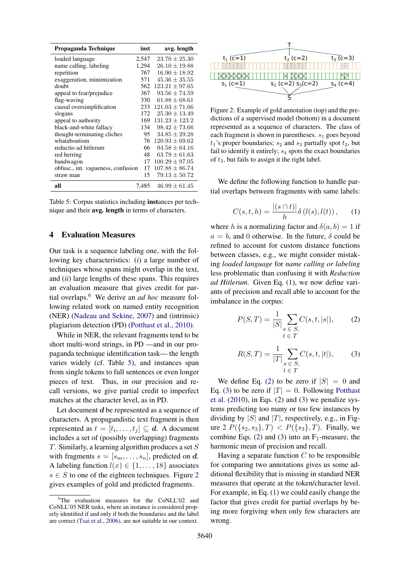<span id="page-5-1"></span>

| Propaganda Technique               | inst  | avg. length        |
|------------------------------------|-------|--------------------|
| loaded language                    | 2,547 | $23.70 \pm 25.30$  |
| name calling, labeling             | 1,294 | $26.10 \pm 19.88$  |
| repetition                         | 767   | $16.90 \pm 18.92$  |
| exaggeration, minimization         | 571   | $45.36 \pm 35.55$  |
| doubt                              | 562   | $123.21 \pm 97.65$ |
| appeal to fear/prejudice           | 367   | $93.56 \pm 74.59$  |
| flag-waving                        | 330   | $61.88 \pm 68.61$  |
| causal oversimplification          | 233   | $121.03 + 71.66$   |
| slogans                            | 172   | $25.30 \pm 13.49$  |
| appeal to authority                | 169   | $131.23 \pm 123.2$ |
| black-and-white fallacy            | 134   | $98.42 + 73.66$    |
| thought-terminating cliches        | 95    | $34.85 \pm 29.28$  |
| whataboutism                       | 76    | $120.93 + 69.62$   |
| reductio ad hitlerum               | 66 -  | $94.58 \pm 64.16$  |
| red herring                        | 48    | $63.79 \pm 61.63$  |
| bandwagon                          | 17    | $100.29 \pm 97.05$ |
| obfusc., int. vagueness, confusion | 17    | $107.88 \pm 86.74$ |
| straw man                          | 15    | $79.13 \pm 50.72$  |
| all                                | 7.485 | $46.99 \pm 61.45$  |

Table 5: Corpus statistics including instances per technique and their avg. length in terms of characters.

### <span id="page-5-0"></span>4 Evaluation Measures

Our task is a sequence labeling one, with the following key characteristics: (*i*) a large number of techniques whose spans might overlap in the text, and (*ii*) large lengths of these spans. This requires an evaluation measure that gives credit for partial overlaps.[6](#page-5-2) We derive an *ad hoc* measure following related work on named entity recognition (NER) [\(Nadeau and Sekine,](#page-9-14) [2007\)](#page-9-14) and (intrinsic) plagiarism detection (PD) [\(Potthast et al.,](#page-9-15) [2010\)](#page-9-15).

While in NER, the relevant fragments tend to be short multi-word strings, in PD —and in our propaganda technique identification task— the length varies widely (cf. Table [5\)](#page-5-1), and instances span from single tokens to full sentences or even longer pieces of text. Thus, in our precision and recall versions, we give partial credit to imperfect matches at the character level, as in PD.

Let document  $d$  be represented as a sequence of characters. A propagandistic text fragment is then represented as  $t = [t_i, \dots, t_j] \subseteq d$ . A document includes a set of (possibly overlapping) fragments  $T$ . Similarly, a learning algorithm produces a set  $S$ with fragments  $s = [s_m, \ldots, s_n]$ , predicted on d. A labeling function  $l(x) \in \{1, \ldots, 18\}$  associates  $s \in S$  to one of the eighteen techniques. Figure [2](#page-5-3) gives examples of gold and predicted fragments.

<span id="page-5-3"></span>

Figure 2: Example of gold annotation (top) and the predictions of a supervised model (bottom) in a document represented as a sequence of characters. The class of each fragment is shown in parentheses.  $s_1$  goes beyond  $t_1$ 's proper boundaries;  $s_2$  and  $s_3$  partially spot  $t_2$ , but fail to identify it entirely;  $s_4$  spots the exact boundaries of  $t_3$ , but fails to assign it the right label.

<span id="page-5-4"></span>We define the following function to handle partial overlaps between fragments with same labels:

$$
C(s,t,h) = \frac{|(s \cap t)|}{h} \delta(l(s),l(t)), \qquad (1)
$$

where h is a normalizing factor and  $\delta(a, b) = 1$  if  $a = b$ , and 0 otherwise. In the future,  $\delta$  could be refined to account for custom distance functions between classes, e.g., we might consider mistaking *loaded language* for *name calling or labeling* less problematic than confusing it with *Reduction ad Hitlerum*. Given Eq. [\(1\)](#page-5-4), we now define variants of precision and recall able to account for the imbalance in the corpus:

<span id="page-5-5"></span>
$$
P(S,T) = \frac{1}{|S|} \sum_{\substack{s \in S, \\ t \in T}} C(s, t, |s|), \qquad (2)
$$

<span id="page-5-6"></span>
$$
R(S,T) = \frac{1}{|T|} \sum_{\substack{s \in S, \\ t \in T}} C(s, t, |t|),
$$
 (3)

We define Eq. [\(2\)](#page-5-5) to be zero if  $|S| = 0$  and Eq. [\(3\)](#page-5-6) to be zero if  $|T| = 0$ . Following [Potthast](#page-9-15) [et al.](#page-9-15) [\(2010\)](#page-9-15), in Eqs. [\(2\)](#page-5-5) and [\(3\)](#page-5-6) we penalize systems predicting too many or too few instances by dividing by  $|S|$  and  $|T|$ , respectively, e.g., in Fig-ure [2](#page-5-3)  $P({s_2, s_3}, T) < P({s_3}, T)$ . Finally, we combine Eqs. [\(2\)](#page-5-5) and [\(3\)](#page-5-6) into an  $F_1$ -measure, the harmonic mean of precision and recall.

Having a separate function  $C$  to be responsible for comparing two annotations gives us some additional flexibility that is missing in standard NER measures that operate at the token/character level. For example, in Eq. [\(1\)](#page-5-4) we could easily change the factor that gives credit for partial overlaps by being more forgiving when only few characters are wrong.

<span id="page-5-2"></span><sup>&</sup>lt;sup>6</sup>The evaluation measures for the CoNLL'02 and CoNLL'03 NER tasks, where an instance is considered properly identified if and only if both the boundaries and the label are correct [\(Tsai et al.,](#page-10-5) [2006\)](#page-10-5), are not suitable in our context.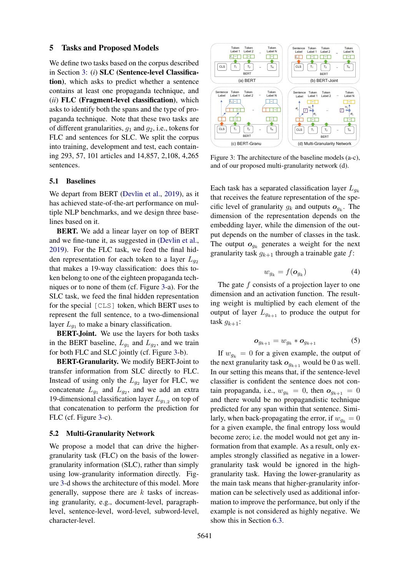### <span id="page-6-0"></span>5 Tasks and Proposed Models

We define two tasks based on the corpus described in Section [3:](#page-3-0) (*i*) SLC (Sentence-level Classification), which asks to predict whether a sentence contains at least one propaganda technique, and (*ii*) FLC (Fragment-level classification), which asks to identify both the spans and the type of propaganda technique. Note that these two tasks are of different granularities,  $q_1$  and  $q_2$ , i.e., tokens for FLC and sentences for SLC. We split the corpus into training, development and test, each containing 293, 57, 101 articles and 14,857, 2,108, 4,265 sentences.

## 5.1 Baselines

We depart from BERT [\(Devlin et al.,](#page-9-16) [2019\)](#page-9-16), as it has achieved state-of-the-art performance on multiple NLP benchmarks, and we design three baselines based on it.

BERT. We add a linear layer on top of BERT and we fine-tune it, as suggested in [\(Devlin et al.,](#page-9-16) [2019\)](#page-9-16). For the FLC task, we feed the final hidden representation for each token to a layer  $L_{q_2}$ that makes a 19-way classification: does this token belong to one of the eighteen propaganda techniques or to none of them (cf. Figure [3-](#page-6-1)a). For the SLC task, we feed the final hidden representation for the special [CLS] token, which BERT uses to represent the full sentence, to a two-dimensional layer  $L_{g_1}$  to make a binary classification.

BERT-Joint. We use the layers for both tasks in the BERT baseline,  $L_{g_1}$  and  $L_{g_2}$ , and we train for both FLC and SLC jointly (cf. Figure [3-](#page-6-1)b).

BERT-Granularity. We modify BERT-Joint to transfer information from SLC directly to FLC. Instead of using only the  $L_{g_2}$  layer for FLC, we concatenate  $L_{g_1}$  and  $L_{g_2}$ , and we add an extra 19-dimensional classification layer  $L_{g_{1,2}}$  on top of that concatenation to perform the prediction for FLC (cf. Figure [3-](#page-6-1)c).

#### 5.2 Multi-Granularity Network

We propose a model that can drive the highergranularity task (FLC) on the basis of the lowergranularity information (SLC), rather than simply using low-granularity information directly. Figure [3-](#page-6-1)d shows the architecture of this model. More generally, suppose there are  $k$  tasks of increasing granularity, e.g., document-level, paragraphlevel, sentence-level, word-level, subword-level, character-level.

<span id="page-6-1"></span>

Figure 3: The architecture of the baseline models (a-c), and of our proposed multi-granularity network (d).

Each task has a separated classification layer  $L_{g_k}$ that receives the feature representation of the specific level of granularity  $g_k$  and outputs  $o_{g_k}$ . The dimension of the representation depends on the embedding layer, while the dimension of the output depends on the number of classes in the task. The output  $o_{g_k}$  generates a weight for the next granularity task  $g_{k+1}$  through a trainable gate f:

$$
w_{g_k} = f(\mathbf{o}_{g_k}) \tag{4}
$$

The gate  $f$  consists of a projection layer to one dimension and an activation function. The resulting weight is multiplied by each element of the output of layer  $L_{g_{k+1}}$  to produce the output for task  $g_{k+1}$ :

$$
\boldsymbol{o}_{g_{k+1}} = w_{g_k} * \boldsymbol{o}_{g_{k+1}}
$$
 (5)

If  $w_{g_k} = 0$  for a given example, the output of the next granularity task  $o_{q_{k+1}}$  would be 0 as well. In our setting this means that, if the sentence-level classifier is confident the sentence does not contain propaganda, i.e.,  $w_{g_k} = 0$ , then  $o_{g_{k+1}} = 0$ and there would be no propagandistic technique predicted for any span within that sentence. Similarly, when back-propagating the error, if  $w_{a_k} = 0$ for a given example, the final entropy loss would become zero; i.e. the model would not get any information from that example. As a result, only examples strongly classified as negative in a lowergranularity task would be ignored in the highgranularity task. Having the lower-granularity as the main task means that higher-granularity information can be selectively used as additional information to improve the performance, but only if the example is not considered as highly negative. We show this in Section [6.3.](#page-7-1)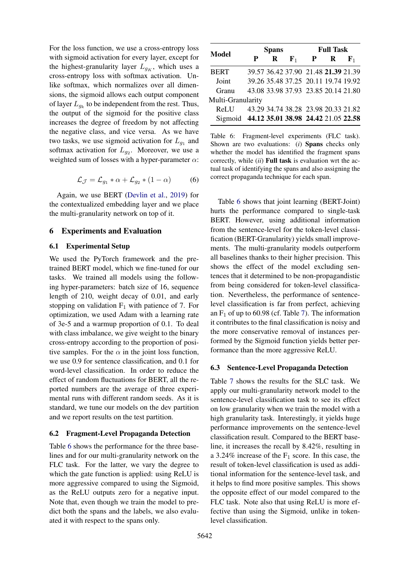For the loss function, we use a cross-entropy loss with sigmoid activation for every layer, except for the highest-granularity layer  $L_{g_K}$ , which uses a cross-entropy loss with softmax activation. Unlike softmax, which normalizes over all dimensions, the sigmoid allows each output component of layer  $L_{g_k}$  to be independent from the rest. Thus, the output of the sigmoid for the positive class increases the degree of freedom by not affecting the negative class, and vice versa. As we have two tasks, we use sigmoid activation for  $L_{g_1}$  and softmax activation for  $L_{g_2}$ . Moreover, we use a weighted sum of losses with a hyper-parameter  $\alpha$ :

$$
\mathcal{L}_{\mathcal{J}} = \mathcal{L}_{g_1} * \alpha + \mathcal{L}_{g_2} * (1 - \alpha) \tag{6}
$$

Again, we use BERT [\(Devlin et al.,](#page-9-16) [2019\)](#page-9-16) for the contextualized embedding layer and we place the multi-granularity network on top of it.

### <span id="page-7-0"></span>6 Experiments and Evaluation

## 6.1 Experimental Setup

We used the PyTorch framework and the pretrained BERT model, which we fine-tuned for our tasks. We trained all models using the following hyper-parameters: batch size of 16, sequence length of 210, weight decay of 0.01, and early stopping on validation  $F_1$  with patience of 7. For optimization, we used Adam with a learning rate of 3e-5 and a warmup proportion of 0.1. To deal with class imbalance, we give weight to the binary cross-entropy according to the proportion of positive samples. For the  $\alpha$  in the joint loss function, we use 0.9 for sentence classification, and 0.1 for word-level classification. In order to reduce the effect of random fluctuations for BERT, all the reported numbers are the average of three experimental runs with different random seeds. As it is standard, we tune our models on the dev partition and we report results on the test partition.

#### 6.2 Fragment-Level Propaganda Detection

Table [6](#page-7-2) shows the performance for the three baselines and for our multi-granularity network on the FLC task. For the latter, we vary the degree to which the gate function is applied: using ReLU is more aggressive compared to using the Sigmoid, as the ReLU outputs zero for a negative input. Note that, even though we train the model to predict both the spans and the labels, we also evaluated it with respect to the spans only.

<span id="page-7-2"></span>

| <b>Model</b>                                | <b>Spans</b> |          |                                     | <b>Full Task</b> |             |             |
|---------------------------------------------|--------------|----------|-------------------------------------|------------------|-------------|-------------|
|                                             |              | $\bf{R}$ | ${\bf F}_1$                         | $\mathbf{P}$     | $\mathbf R$ | ${\bf F}_1$ |
| <b>BERT</b>                                 |              |          | 39.57 36.42 37.90 21.48 21.39 21.39 |                  |             |             |
| Joint                                       |              |          | 39.26 35.48 37.25 20.11 19.74 19.92 |                  |             |             |
| Granu                                       |              |          | 43.08 33.98 37.93 23.85 20.14 21.80 |                  |             |             |
| Multi-Granularity                           |              |          |                                     |                  |             |             |
| ReLU –                                      |              |          | 43.29 34.74 38.28 23.98 20.33 21.82 |                  |             |             |
| Sigmoid 44.12 35.01 38.98 24.42 21.05 22.58 |              |          |                                     |                  |             |             |

Table 6: Fragment-level experiments (FLC task). Shown are two evaluations: (*i*) Spans checks only whether the model has identified the fragment spans correctly, while (*ii*) Full task is evaluation wrt the actual task of identifying the spans and also assigning the correct propaganda technique for each span.

Table [6](#page-7-2) shows that joint learning (BERT-Joint) hurts the performance compared to single-task BERT. However, using additional information from the sentence-level for the token-level classification (BERT-Granularity) yields small improvements. The multi-granularity models outperform all baselines thanks to their higher precision. This shows the effect of the model excluding sentences that it determined to be non-propagandistic from being considered for token-level classification. Nevertheless, the performance of sentencelevel classification is far from perfect, achieving an  $F_1$  of up to 60.98 (cf. Table [7\)](#page-8-2). The information it contributes to the final classification is noisy and the more conservative removal of instances performed by the Sigmoid function yields better performance than the more aggressive ReLU.

#### <span id="page-7-1"></span>6.3 Sentence-Level Propaganda Detection

Table [7](#page-8-2) shows the results for the SLC task. We apply our multi-granularity network model to the sentence-level classification task to see its effect on low granularity when we train the model with a high granularity task. Interestingly, it yields huge performance improvements on the sentence-level classification result. Compared to the BERT baseline, it increases the recall by 8.42%, resulting in a 3.24% increase of the  $F_1$  score. In this case, the result of token-level classification is used as additional information for the sentence-level task, and it helps to find more positive samples. This shows the opposite effect of our model compared to the FLC task. Note also that using ReLU is more effective than using the Sigmoid, unlike in tokenlevel classification.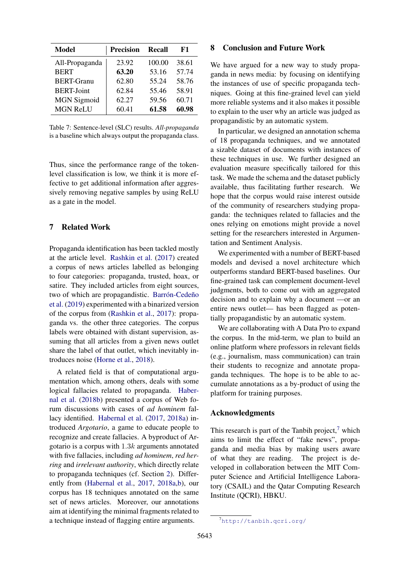<span id="page-8-2"></span>

| Model              | <b>Precision</b> | Recall | F1    |
|--------------------|------------------|--------|-------|
| All-Propaganda     | 23.92            | 100.00 | 38.61 |
| <b>BERT</b>        | 63.20            | 53.16  | 57.74 |
| <b>BERT-Granu</b>  | 62.80            | 55.24  | 58.76 |
| <b>BERT-Joint</b>  | 62.84            | 55.46  | 58.91 |
| <b>MGN</b> Sigmoid | 62.27            | 59.56  | 60.71 |
| <b>MGN ReLU</b>    | 60.41            | 61.58  | 60.98 |

Table 7: Sentence-level (SLC) results. *All-propaganda* is a baseline which always output the propaganda class.

Thus, since the performance range of the tokenlevel classification is low, we think it is more effective to get additional information after aggressively removing negative samples by using ReLU as a gate in the model.

# <span id="page-8-0"></span>7 Related Work

Propaganda identification has been tackled mostly at the article level. [Rashkin et al.](#page-9-1) [\(2017\)](#page-9-1) created a corpus of news articles labelled as belonging to four categories: propaganda, trusted, hoax, or satire. They included articles from eight sources, two of which are propagandistic. Barrón-Cedeño [et al.](#page-9-17) [\(2019\)](#page-9-17) experimented with a binarized version of the corpus from [\(Rashkin et al.,](#page-9-1) [2017\)](#page-9-1): propaganda vs. the other three categories. The corpus labels were obtained with distant supervision, assuming that all articles from a given news outlet share the label of that outlet, which inevitably introduces noise [\(Horne et al.,](#page-9-2) [2018\)](#page-9-2).

A related field is that of computational argumentation which, among others, deals with some logical fallacies related to propaganda. [Haber](#page-9-18)[nal et al.](#page-9-18) [\(2018b\)](#page-9-18) presented a corpus of Web forum discussions with cases of *ad hominem* fallacy identified. [Habernal et al.](#page-9-19) [\(2017,](#page-9-19) [2018a\)](#page-9-20) introduced *Argotario*, a game to educate people to recognize and create fallacies. A byproduct of Argotario is a corpus with  $1.3k$  arguments annotated with five fallacies, including *ad hominem*, *red herring* and *irrelevant authority*, which directly relate to propaganda techniques (cf. Section [2\)](#page-1-0). Differently from [\(Habernal et al.,](#page-9-19) [2017,](#page-9-19) [2018a,](#page-9-20)[b\)](#page-9-18), our corpus has 18 techniques annotated on the same set of news articles. Moreover, our annotations aim at identifying the minimal fragments related to a technique instead of flagging entire arguments.

### <span id="page-8-1"></span>8 Conclusion and Future Work

We have argued for a new way to study propaganda in news media: by focusing on identifying the instances of use of specific propaganda techniques. Going at this fine-grained level can yield more reliable systems and it also makes it possible to explain to the user why an article was judged as propagandistic by an automatic system.

In particular, we designed an annotation schema of 18 propaganda techniques, and we annotated a sizable dataset of documents with instances of these techniques in use. We further designed an evaluation measure specifically tailored for this task. We made the schema and the dataset publicly available, thus facilitating further research. We hope that the corpus would raise interest outside of the community of researchers studying propaganda: the techniques related to fallacies and the ones relying on emotions might provide a novel setting for the researchers interested in Argumentation and Sentiment Analysis.

We experimented with a number of BERT-based models and devised a novel architecture which outperforms standard BERT-based baselines. Our fine-grained task can complement document-level judgments, both to come out with an aggregated decision and to explain why a document —or an entire news outlet— has been flagged as potentially propagandistic by an automatic system.

We are collaborating with A Data Pro to expand the corpus. In the mid-term, we plan to build an online platform where professors in relevant fields (e.g., journalism, mass communication) can train their students to recognize and annotate propaganda techniques. The hope is to be able to accumulate annotations as a by-product of using the platform for training purposes.

# Acknowledgments

This research is part of the Tanbih project, $\frac{7}{1}$  $\frac{7}{1}$  $\frac{7}{1}$  which aims to limit the effect of "fake news", propaganda and media bias by making users aware of what they are reading. The project is developed in collaboration between the MIT Computer Science and Artificial Intelligence Laboratory (CSAIL) and the Qatar Computing Research Institute (QCRI), HBKU.

<span id="page-8-3"></span><sup>7</sup><http://tanbih.qcri.org/>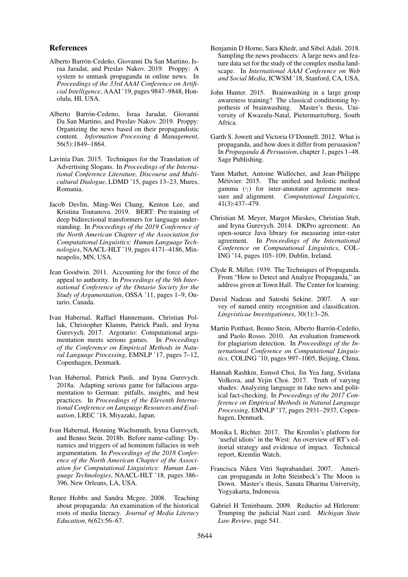### References

- <span id="page-9-17"></span>Alberto Barrón-Cedeño, Giovanni Da San Martino, Israa Jaradat, and Preslav Nakov. 2019. Proppy: A system to unmask propaganda in online news. In *Proceedings of the 33rd AAAI Conference on Artificial Intelligence*, AAAI '19, pages 9847–9848, Honolulu, HI, USA.
- <span id="page-9-0"></span>Alberto Barrón-Cedeno, Israa Jaradat, Giovanni Da San Martino, and Preslav Nakov. 2019. Proppy: Organizing the news based on their propagandistic content. *Information Processing & Management*, 56(5):1849–1864.
- <span id="page-9-6"></span>Lavinia Dan. 2015. Techniques for the Translation of Advertising Slogans. In *Proceedings of the International Conference Literature, Discourse and Multicultural Dialogue*, LDMD '15, pages 13–23, Mures, Romania.
- <span id="page-9-16"></span>Jacob Devlin, Ming-Wei Chang, Kenton Lee, and Kristina Toutanova. 2019. BERT: Pre-training of deep bidirectional transformers for language understanding. In *Proceedings of the 2019 Conference of the North American Chapter of the Association for Computational Linguistics: Human Language Technologies*, NAACL-HLT '19, pages 4171–4186, Minneapolis, MN, USA.
- <span id="page-9-7"></span>Jean Goodwin. 2011. Accounting for the force of the appeal to authority. In *Proceedings of the 9th International Conference of the Ontario Society for the Study of Argumentation*, OSSA '11, pages 1–9, Ontario, Canada.
- <span id="page-9-19"></span>Ivan Habernal, Raffael Hannemann, Christian Pollak, Christopher Klamm, Patrick Pauli, and Iryna Gurevych. 2017. Argotario: Computational argumentation meets serious games. In *Proceedings of the Conference on Empirical Methods in Natural Language Processing*, EMNLP '17, pages 7–12, Copenhagen, Denmark.
- <span id="page-9-20"></span>Ivan Habernal, Patrick Pauli, and Iryna Gurevych. 2018a. Adapting serious game for fallacious argumentation to German: pitfalls, insights, and best practices. In *Proceedings of the Eleventh International Conference on Language Resources and Evaluation*, LREC '18, Miyazaki, Japan.
- <span id="page-9-18"></span>Ivan Habernal, Henning Wachsmuth, Iryna Gurevych, and Benno Stein. 2018b. Before name-calling: Dynamics and triggers of ad hominem fallacies in web argumentation. In *Proceedings of the 2018 Conference of the North American Chapter of the Association for Computational Linguistics: Human Language Technologies*, NAACL-HLT '18, pages 386– 396, New Orleans, LA, USA.
- <span id="page-9-5"></span>Renee Hobbs and Sandra Mcgee. 2008. Teaching about propaganda: An examination of the historical roots of media literacy. *Journal of Media Literacy Education*, 6(62):56–67.
- <span id="page-9-2"></span>Benjamin D Horne, Sara Khedr, and Sibel Adali. 2018. Sampling the news producers: A large news and feature data set for the study of the complex media landscape. In *International AAAI Conference on Web and Social Media*, ICWSM '18, Stanford, CA, USA.
- <span id="page-9-8"></span>John Hunter. 2015. Brainwashing in a large group awareness training? The classical conditioning hypothesis of brainwashing. Master's thesis, University of Kwazulu-Natal, Pietermaritzburg, South Africa.
- <span id="page-9-4"></span>Garth S. Jowett and Victoria O'Donnell. 2012. What is propaganda, and how does it differ from persuasion? In *Propaganda & Persuasion*, chapter 1, pages 1–48. Sage Publishing.
- <span id="page-9-12"></span>Yann Mathet, Antoine Widlöcher, and Jean-Philippe Métivier. 2015. The unified and holistic method gamma  $(\gamma)$  for inter-annotator agreement measure and alignment. *Computational Linguistics*, 41(3):437–479.
- <span id="page-9-13"></span>Christian M. Meyer, Margot Mieskes, Christian Stab, and Iryna Gurevych. 2014. DKPro agreement: An open-source Java library for measuring inter-rater agreement. In *Proceedings of the International Conference on Computational Linguistics*, COL-ING '14, pages 105–109, Dublin, Ireland.
- <span id="page-9-3"></span>Clyde R. Miller. 1939. The Techniques of Propaganda. From "How to Detect and Analyze Propaganda," an address given at Town Hall. The Center for learning.
- <span id="page-9-14"></span>David Nadeau and Satoshi Sekine. 2007. A survey of named entity recognition and classification. *Lingvisticae Investigationes*, 30(1):3–26.
- <span id="page-9-15"></span>Martin Potthast, Benno Stein, Alberto Barrón-Cedeño, and Paolo Rosso. 2010. An evaluation framework for plagiarism detection. In *Proceedings of the International Conference on Computational Linguistics*, COLING '10, pages 997–1005, Beijing, China.
- <span id="page-9-1"></span>Hannah Rashkin, Eunsol Choi, Jin Yea Jang, Svitlana Volkova, and Yejin Choi. 2017. Truth of varying shades: Analyzing language in fake news and political fact-checking. In *Proceedings of the 2017 Conference on Empirical Methods in Natural Language Processing*, EMNLP '17, pages 2931–2937, Copenhagen, Denmark.
- <span id="page-9-9"></span>Monika L Richter. 2017. The Kremlin's platform for 'useful idiots' in the West: An overview of RT's editorial strategy and evidence of impact. Technical report, Kremlin Watch.
- <span id="page-9-11"></span>Francisca Niken Vitri Suprabandari. 2007. American propaganda in John Steinbeck's The Moon is Down. Master's thesis, Sanata Dharma University, Yogyakarta, Indonesia.
- <span id="page-9-10"></span>Gabriel H Teninbaum. 2009. Reductio ad Hitlerum: Trumping the judicial Nazi card. *Michigan State Law Review*, page 541.